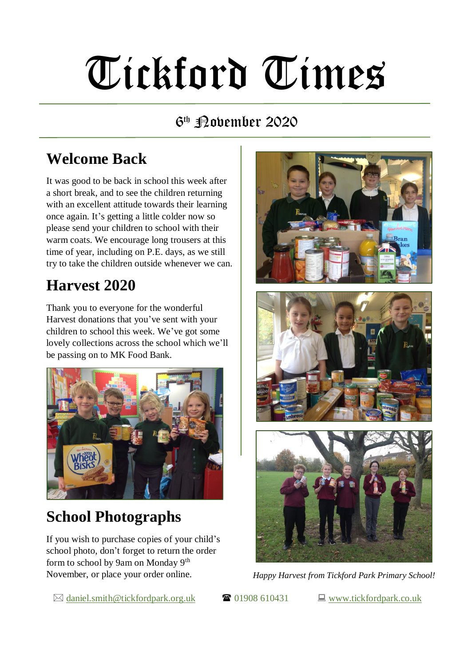# Tickford Times

#### 6 th November 2020

### **Welcome Back**

It was good to be back in school this week after a short break, and to see the children returning with an excellent attitude towards their learning once again. It's getting a little colder now so please send your children to school with their warm coats. We encourage long trousers at this time of year, including on P.E. days, as we still try to take the children outside whenever we can.

#### **Harvest 2020**

Thank you to everyone for the wonderful Harvest donations that you've sent with your children to school this week. We've got some lovely collections across the school which we'll be passing on to MK Food Bank.



#### **School Photographs**

If you wish to purchase copies of your child's school photo, don't forget to return the order form to school by 9am on Monday 9th November, or place your order online.

 $\boxtimes$  [daniel.smith@tickfordpark.org.uk](mailto:daniel.smith@tickfordpark.org.uk)  $\bullet$  01908 610431  $\Box$  [www.tickfordpark.co.uk](http://www.tickfordpark.co.uk/)



*Happy Harvest from Tickford Park Primary School!*